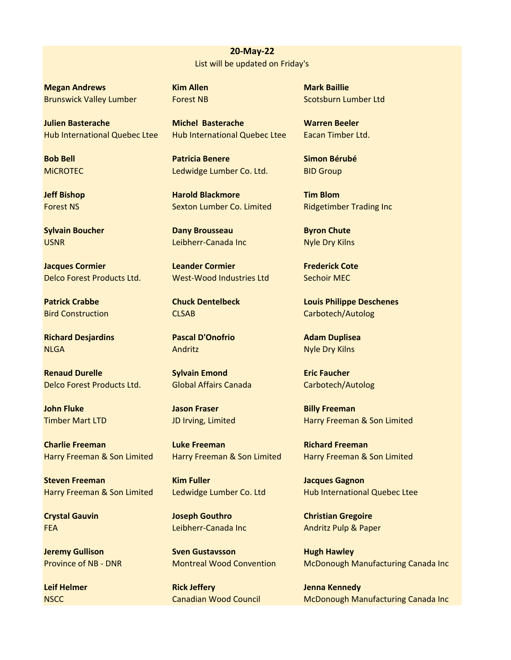**20‐May‐22** List will be updated on Friday's

**Megan Andrews Kim Allen Mark Baillie Mark Baillie** Brunswick Valley Lumber Forest NB Scotsburn Lumber Ltd

**Julien Basterache Michel Basterache Warren Beeler** Hub International Quebec Ltee Hub International Quebec Ltee Eacan Timber Ltd.

**Jacques Cormier Collection Contract Leander Cormier Corpus Contract Cote** Delco Forest Products Ltd. West‐Wood Industries Ltd Sechoir MEC

**Richard Desjardins Pascal D'Onofrio Adam Duplisea** NLGA Andritz Andritz Andrity Andrity Andrity Andrity Andrity Andrity Andrity Andrity Andrity Andrity Andrity Andrity Andrity Andrity Andrity Andrity Andrity Andrity Andrity Andrity Andrity Andrity Andrity Andrity Andrity A

**Renaud Durelle Sylvain Emond Eric Faucher** Delco Forest Products Ltd. Global Affairs Canada Carbotech/Autolog

**John Fluke Communist Communist Communist Communist Communist Communist Communist Communist Communist Communist Communist Communist Communist Communist Communist Communist Communist Communist Communist Communist Communist** 

**Charlie Freeman Luke Freeman Richard Freeman**

**Steven Freeman Kim Fuller Communist Cagnon** Bacques Gagnon

**Bob Bell Patricia Benere Simon Bérubé** MICROTEC Ledwidge Lumber Co. Ltd. BID Group

**Jeff Bishop Tim Blom Harold Blackmore** Tim Blom Forest NS Sexton Lumber Co. Limited Ridgetimber Trading Inc

**Sylvain Boucher Chutter Byron Chutter Byron Chutter Byron Chutter Byron Chutter** USNR Leibherr-Canada Inc Nyle Dry Kilns

**Crystal Gauvin Christian Gregoire Joseph Gouthro Christian Gregoire** 

**Jeremy Gullison Sven Gustavsson Hugh Hawley** 

**Leif Helmer Communist Communist Communist Communist Communist Communist Communist Communist Communist Communist Communist Communist Communist Communist Communist Communist Communist Communist Communist Communist Communist** 

**Patrick Crabbe Chuck Dentelbeck Louis Philippe Deschenes** Bird Construction **CLSAB** CLSAB Carbotech/Autolog

Timber Mart LTD JD Irving, Limited Harry Freeman & Son Limited

Harry Freeman & Son Limited Harry Freeman & Son Limited Harry Freeman & Son Limited

Harry Freeman & Son Limited Ledwidge Lumber Co. Ltd Hub International Quebec Ltee

FEA Leibherr‐Canada Inc Andritz Pulp & Paper

Province of NB - DNR Montreal Wood Convention McDonough Manufacturing Canada Inc

NSCC Canadian Wood Council McDonough Manufacturing Canada Inc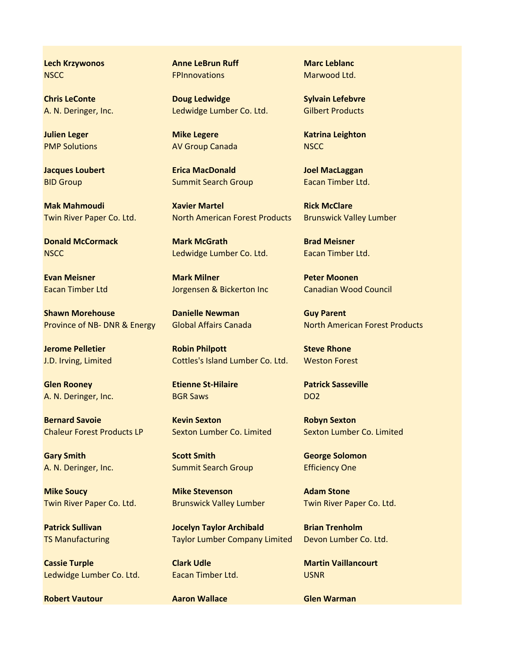**Lech Krzywonos Anne LeBrun Ruff** Marc Leblanc

**Shawn Morehouse Communist Communist Communist Communist Communist Communist Communist Communist Communist Communist Communist Communist Communist Communist Communist Communist Communist Communist Communist Communist Commu** 

**Glen Rooney <b>Etienne St-Hilaire** Patrick Sasseville A. N. Deringer, Inc. **BGR Saws BGR Saws DO2** 

**Bernard Savoie Committee Committee Kevin Sexton Committee Robyn Sexton** 

Twin River Paper Co. Ltd. Brunswick Valley Lumber Twin River Paper Co. Ltd.

**Cassie Turple Clark Udle Clark Udle Martin Vaillancourt** Ledwidge Lumber Co. Ltd. Eacan Timber Ltd. USNR

**Robert Vautour Communisties Aaron Wallace Communisties Glen Warman** 

NSCC **FPInnovations** Marwood Ltd.

**Chris LeConte Chris Letter Contents of Letter Contents Content Contents Content Content Content Content Content** A. N. Deringer, Inc. The Ledwidge Lumber Co. Ltd. Gilbert Products

PMP Solutions **AV Group Canada** NSCC

**Jacques Loubert Erica MacDonald Joel MacLaggan** BID Group **Summit Search Group** Eacan Timber Ltd.

**Mak Mahmoudi Construction Martel Martel Rick McClare** Twin River Paper Co. Ltd. North American Forest Products Brunswick Valley Lumber

**Donald McCormack Mark McGrath Brad Meisner** NSCC Ledwidge Lumber Co. Ltd. Eacan Timber Ltd.

**Evan Meisner Mark Milliper Mark Milliper Moonen** Eacan Timber Ltd Jorgensen & Bickerton Inc Canadian Wood Council

**Jerome Pelletier Community Robin Philpott Steve Rhone** J.D. Irving, Limited Cottles's Island Lumber Co. Ltd. Weston Forest

**Gary Smith Scott Smith Scott Smith George Solomon** A. N. Deringer, Inc. **Summit Search Group** Efficiency One

**Mike Soucy Communist Communist Communist Communist Communist Communist Communist Communist Communist Communist Communist Communist Communist Communist Communist Communist Communist Communist Communist Communist Communist** 

**Patrick Sullivan Matrick Sullivan Constructs Archibald Brian Trenholm** TS Manufacturing Taylor Lumber Company Limited Devon Lumber Co. Ltd.

**Julien Leger Mike Legere Mike Legere** Katrina Leighton

Province of NB- DNR & Energy Global Affairs Canada North American Forest Products

Chaleur Forest Products LP Sexton Lumber Co. Limited Sexton Lumber Co. Limited